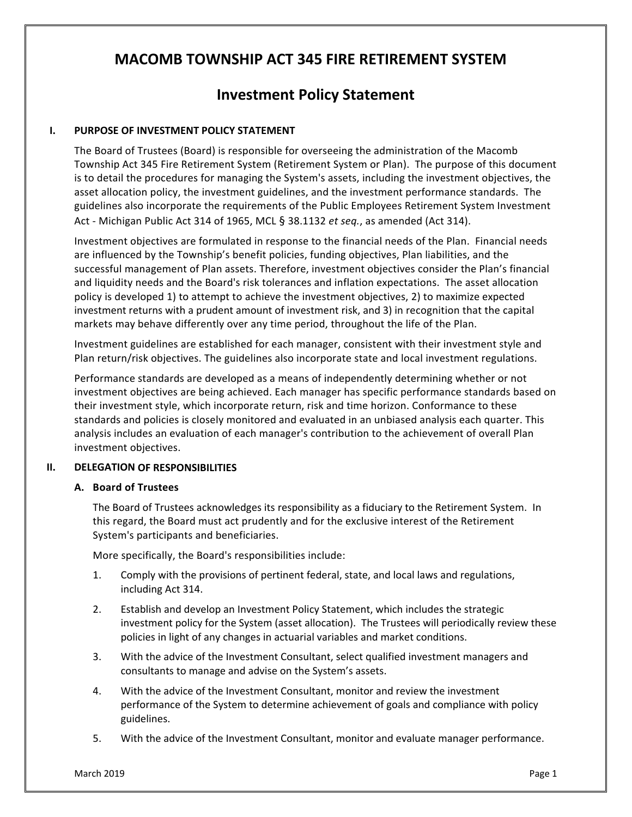# **MACOMB TOWNSHIP ACT 345 FIRE RETIREMENT SYSTEM**

# **Investment Policy Statement**

#### **I. PURPOSE OF INVESTMENT POLICY STATEMENT**

The Board of Trustees (Board) is responsible for overseeing the administration of the Macomb Township Act 345 Fire Retirement System (Retirement System or Plan). The purpose of this document is to detail the procedures for managing the System's assets, including the investment objectives, the asset allocation policy, the investment guidelines, and the investment performance standards. The guidelines also incorporate the requirements of the Public Employees Retirement System Investment Act ‐ Michigan Public Act 314 of 1965, MCL § 38.1132 *et seq.*, as amended (Act 314).

Investment objectives are formulated in response to the financial needs of the Plan. Financial needs are influenced by the Township's benefit policies, funding objectives, Plan liabilities, and the successful management of Plan assets. Therefore, investment objectives consider the Plan's financial and liquidity needs and the Board's risk tolerances and inflation expectations. The asset allocation policy is developed 1) to attempt to achieve the investment objectives, 2) to maximize expected investment returns with a prudent amount of investment risk, and 3) in recognition that the capital markets may behave differently over any time period, throughout the life of the Plan.

Investment guidelines are established for each manager, consistent with their investment style and Plan return/risk objectives. The guidelines also incorporate state and local investment regulations.

Performance standards are developed as a means of independently determining whether or not investment objectives are being achieved. Each manager has specific performance standards based on their investment style, which incorporate return, risk and time horizon. Conformance to these standards and policies is closely monitored and evaluated in an unbiased analysis each quarter. This analysis includes an evaluation of each manager's contribution to the achievement of overall Plan investment objectives.

#### **II. DELEGATION OF RESPONSIBILITIES**

#### **A. Board of Trustees**

The Board of Trustees acknowledges its responsibility as a fiduciary to the Retirement System. In this regard, the Board must act prudently and for the exclusive interest of the Retirement System's participants and beneficiaries.

More specifically, the Board's responsibilities include:

- 1. Comply with the provisions of pertinent federal, state, and local laws and regulations, including Act 314.
- 2. Establish and develop an Investment Policy Statement, which includes the strategic investment policy for the System (asset allocation). The Trustees will periodically review these policies in light of any changes in actuarial variables and market conditions.
- 3. With the advice of the Investment Consultant, select qualified investment managers and consultants to manage and advise on the System's assets.
- 4. With the advice of the Investment Consultant, monitor and review the investment performance of the System to determine achievement of goals and compliance with policy guidelines.
- 5. With the advice of the Investment Consultant, monitor and evaluate manager performance.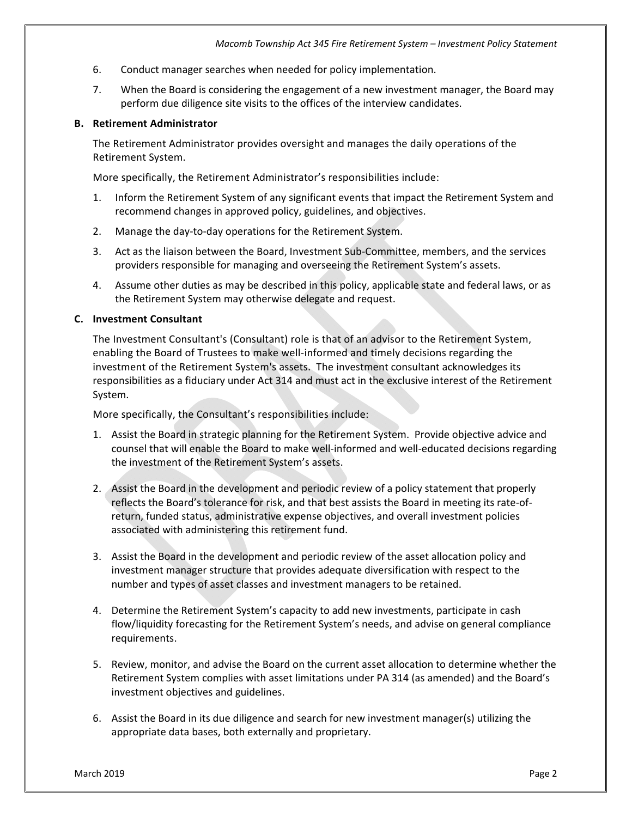- 6. Conduct manager searches when needed for policy implementation.
- 7. When the Board is considering the engagement of a new investment manager, the Board may perform due diligence site visits to the offices of the interview candidates.

## **B. Retirement Administrator**

The Retirement Administrator provides oversight and manages the daily operations of the Retirement System.

More specifically, the Retirement Administrator's responsibilities include:

- 1. Inform the Retirement System of any significant events that impact the Retirement System and recommend changes in approved policy, guidelines, and objectives.
- 2. Manage the day‐to‐day operations for the Retirement System.
- 3. Act as the liaison between the Board, Investment Sub‐Committee, members, and the services providers responsible for managing and overseeing the Retirement System's assets.
- 4. Assume other duties as may be described in this policy, applicable state and federal laws, or as the Retirement System may otherwise delegate and request.

# **C. Investment Consultant**

The Investment Consultant's (Consultant) role is that of an advisor to the Retirement System, enabling the Board of Trustees to make well‐informed and timely decisions regarding the investment of the Retirement System's assets. The investment consultant acknowledges its responsibilities as a fiduciary under Act 314 and must act in the exclusive interest of the Retirement System.

More specifically, the Consultant's responsibilities include:

- 1. Assist the Board in strategic planning for the Retirement System. Provide objective advice and counsel that will enable the Board to make well‐informed and well‐educated decisions regarding the investment of the Retirement System's assets.
- 2. Assist the Board in the development and periodic review of a policy statement that properly reflects the Board's tolerance for risk, and that best assists the Board in meeting its rate‐of‐ return, funded status, administrative expense objectives, and overall investment policies associated with administering this retirement fund.
- 3. Assist the Board in the development and periodic review of the asset allocation policy and investment manager structure that provides adequate diversification with respect to the number and types of asset classes and investment managers to be retained.
- 4. Determine the Retirement System's capacity to add new investments, participate in cash flow/liquidity forecasting for the Retirement System's needs, and advise on general compliance requirements.
- 5. Review, monitor, and advise the Board on the current asset allocation to determine whether the Retirement System complies with asset limitations under PA 314 (as amended) and the Board's investment objectives and guidelines.
- 6. Assist the Board in its due diligence and search for new investment manager(s) utilizing the appropriate data bases, both externally and proprietary.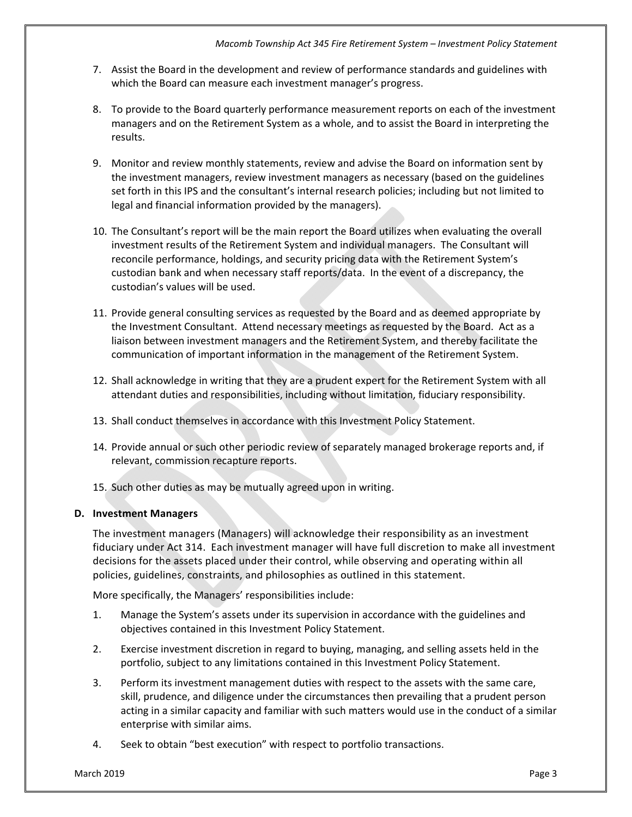- 7. Assist the Board in the development and review of performance standards and guidelines with which the Board can measure each investment manager's progress.
- 8. To provide to the Board quarterly performance measurement reports on each of the investment managers and on the Retirement System as a whole, and to assist the Board in interpreting the results.
- 9. Monitor and review monthly statements, review and advise the Board on information sent by the investment managers, review investment managers as necessary (based on the guidelines set forth in this IPS and the consultant's internal research policies; including but not limited to legal and financial information provided by the managers).
- 10. The Consultant's report will be the main report the Board utilizes when evaluating the overall investment results of the Retirement System and individual managers. The Consultant will reconcile performance, holdings, and security pricing data with the Retirement System's custodian bank and when necessary staff reports/data. In the event of a discrepancy, the custodian's values will be used.
- 11. Provide general consulting services as requested by the Board and as deemed appropriate by the Investment Consultant. Attend necessary meetings as requested by the Board. Act as a liaison between investment managers and the Retirement System, and thereby facilitate the communication of important information in the management of the Retirement System.
- 12. Shall acknowledge in writing that they are a prudent expert for the Retirement System with all attendant duties and responsibilities, including without limitation, fiduciary responsibility.
- 13. Shall conduct themselves in accordance with this Investment Policy Statement.
- 14. Provide annual or such other periodic review of separately managed brokerage reports and, if relevant, commission recapture reports.
- 15. Such other duties as may be mutually agreed upon in writing.

## **D. Investment Managers**

The investment managers (Managers) will acknowledge their responsibility as an investment fiduciary under Act 314. Each investment manager will have full discretion to make all investment decisions for the assets placed under their control, while observing and operating within all policies, guidelines, constraints, and philosophies as outlined in this statement.

More specifically, the Managers' responsibilities include:

- 1. Manage the System's assets under its supervision in accordance with the guidelines and objectives contained in this Investment Policy Statement.
- 2. Exercise investment discretion in regard to buying, managing, and selling assets held in the portfolio, subject to any limitations contained in this Investment Policy Statement.
- 3. Perform its investment management duties with respect to the assets with the same care, skill, prudence, and diligence under the circumstances then prevailing that a prudent person acting in a similar capacity and familiar with such matters would use in the conduct of a similar enterprise with similar aims.
- 4. Seek to obtain "best execution" with respect to portfolio transactions.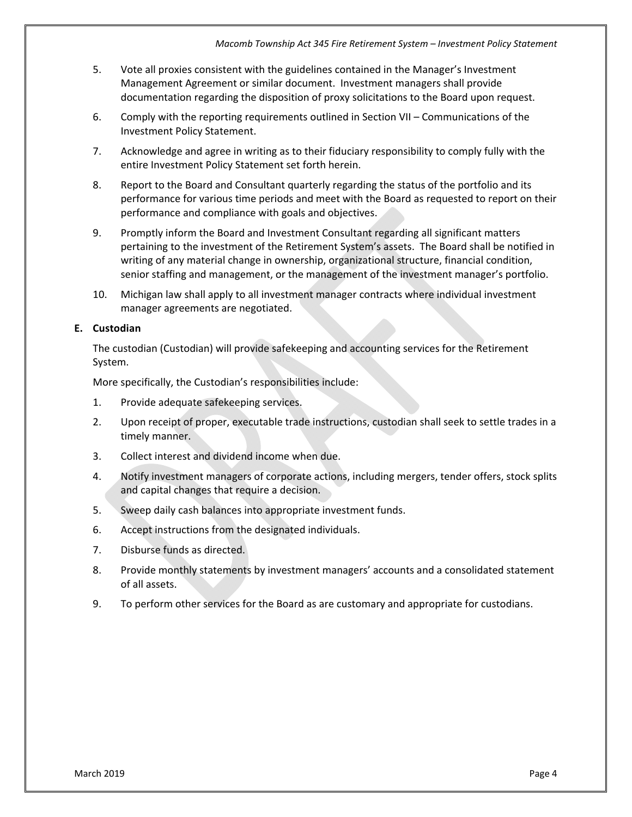- 5. Vote all proxies consistent with the guidelines contained in the Manager's Investment Management Agreement or similar document. Investment managers shall provide documentation regarding the disposition of proxy solicitations to the Board upon request.
- 6. Comply with the reporting requirements outlined in Section VII Communications of the Investment Policy Statement.
- 7. Acknowledge and agree in writing as to their fiduciary responsibility to comply fully with the entire Investment Policy Statement set forth herein.
- 8. Report to the Board and Consultant quarterly regarding the status of the portfolio and its performance for various time periods and meet with the Board as requested to report on their performance and compliance with goals and objectives.
- 9. Promptly inform the Board and Investment Consultant regarding all significant matters pertaining to the investment of the Retirement System's assets. The Board shall be notified in writing of any material change in ownership, organizational structure, financial condition, senior staffing and management, or the management of the investment manager's portfolio.
- 10. Michigan law shall apply to all investment manager contracts where individual investment manager agreements are negotiated.

#### **E. Custodian**

The custodian (Custodian) will provide safekeeping and accounting services for the Retirement System.

More specifically, the Custodian's responsibilities include:

- 1. Provide adequate safekeeping services.
- 2. Upon receipt of proper, executable trade instructions, custodian shall seek to settle trades in a timely manner.
- 3. Collect interest and dividend income when due.
- 4. Notify investment managers of corporate actions, including mergers, tender offers, stock splits and capital changes that require a decision.
- 5. Sweep daily cash balances into appropriate investment funds.
- 6. Accept instructions from the designated individuals.
- 7. Disburse funds as directed.
- 8. Provide monthly statements by investment managers' accounts and a consolidated statement of all assets.
- 9. To perform other services for the Board as are customary and appropriate for custodians.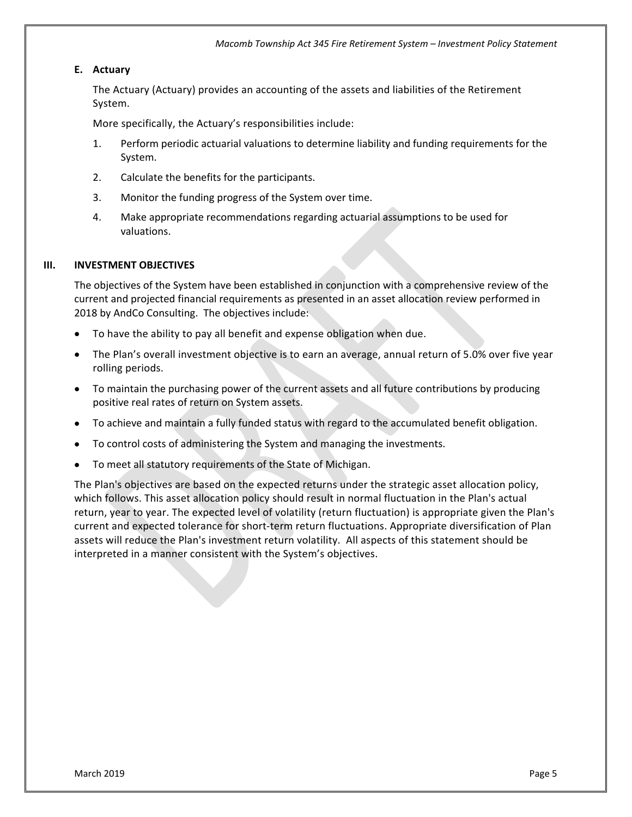## **E. Actuary**

The Actuary (Actuary) provides an accounting of the assets and liabilities of the Retirement System.

More specifically, the Actuary's responsibilities include:

- 1. Perform periodic actuarial valuations to determine liability and funding requirements for the System.
- 2. Calculate the benefits for the participants.
- 3. Monitor the funding progress of the System over time.
- 4. Make appropriate recommendations regarding actuarial assumptions to be used for valuations.

#### **III. INVESTMENT OBJECTIVES**

The objectives of the System have been established in conjunction with a comprehensive review of the current and projected financial requirements as presented in an asset allocation review performed in 2018 by AndCo Consulting. The objectives include:

- To have the ability to pay all benefit and expense obligation when due.
- The Plan's overall investment objective is to earn an average, annual return of 5.0% over five year rolling periods.
- To maintain the purchasing power of the current assets and all future contributions by producing positive real rates of return on System assets.
- To achieve and maintain a fully funded status with regard to the accumulated benefit obligation.
- To control costs of administering the System and managing the investments.
- To meet all statutory requirements of the State of Michigan.

The Plan's objectives are based on the expected returns under the strategic asset allocation policy, which follows. This asset allocation policy should result in normal fluctuation in the Plan's actual return, year to year. The expected level of volatility (return fluctuation) is appropriate given the Plan's current and expected tolerance for short‐term return fluctuations. Appropriate diversification of Plan assets will reduce the Plan's investment return volatility. All aspects of this statement should be interpreted in a manner consistent with the System's objectives.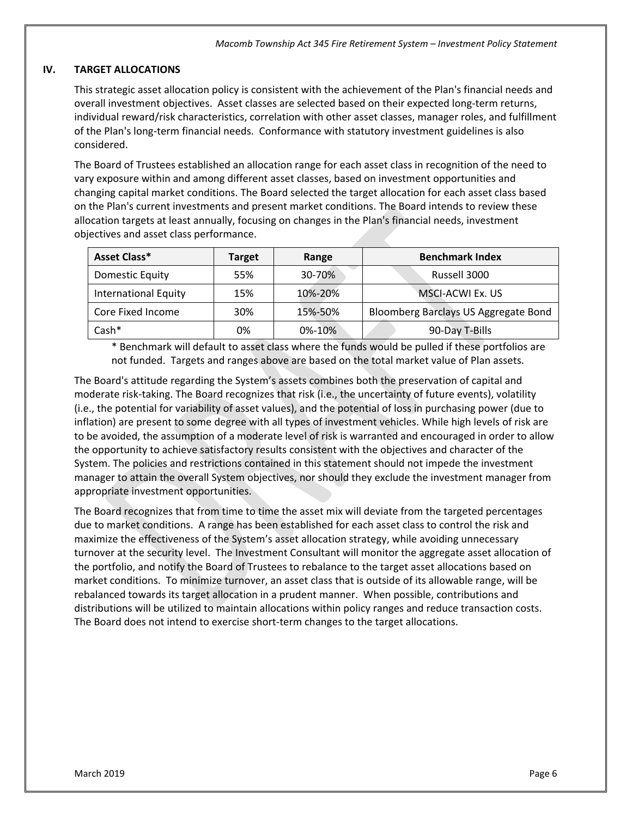# **IV. TARGET ALLOCATIONS**

This strategic asset allocation policy is consistent with the achievement of the Plan's financial needs and overall investment objectives. Asset classes are selected based on their expected long‐term returns, individual reward/risk characteristics, correlation with other asset classes, manager roles, and fulfillment of the Plan's long‐term financial needs. Conformance with statutory investment guidelines is also considered.

The Board of Trustees established an allocation range for each asset class in recognition of the need to vary exposure within and among different asset classes, based on investment opportunities and changing capital market conditions. The Board selected the target allocation for each asset class based on the Plan's current investments and present market conditions. The Board intends to review these allocation targets at least annually, focusing on changes in the Plan's financial needs, investment objectives and asset class performance.

| Asset Class*                | <b>Target</b> | Range   | <b>Benchmark Index</b>               |
|-----------------------------|---------------|---------|--------------------------------------|
| <b>Domestic Equity</b>      | 55%           | 30-70%  | Russell 3000                         |
| <b>International Equity</b> | 15%           | 10%-20% | MSCI-ACWI Ex. US                     |
| Core Fixed Income           | 30%           | 15%-50% | Bloomberg Barclays US Aggregate Bond |
| $Cash*$                     | 0%            | 0%-10%  | 90-Day T-Bills                       |

\* Benchmark will default to asset class where the funds would be pulled if these portfolios are not funded. Targets and ranges above are based on the total market value of Plan assets.

The Board's attitude regarding the System's assets combines both the preservation of capital and moderate risk-taking. The Board recognizes that risk (i.e., the uncertainty of future events), volatility (i.e., the potential for variability of asset values), and the potential of loss in purchasing power (due to inflation) are present to some degree with all types of investment vehicles. While high levels of risk are to be avoided, the assumption of a moderate level of risk is warranted and encouraged in order to allow the opportunity to achieve satisfactory results consistent with the objectives and character of the System. The policies and restrictions contained in this statement should not impede the investment manager to attain the overall System objectives, nor should they exclude the investment manager from appropriate investment opportunities.

The Board recognizes that from time to time the asset mix will deviate from the targeted percentages due to market conditions. A range has been established for each asset class to control the risk and maximize the effectiveness of the System's asset allocation strategy, while avoiding unnecessary turnover at the security level. The Investment Consultant will monitor the aggregate asset allocation of the portfolio, and notify the Board of Trustees to rebalance to the target asset allocations based on market conditions. To minimize turnover, an asset class that is outside of its allowable range, will be rebalanced towards its target allocation in a prudent manner. When possible, contributions and distributions will be utilized to maintain allocations within policy ranges and reduce transaction costs. The Board does not intend to exercise short‐term changes to the target allocations.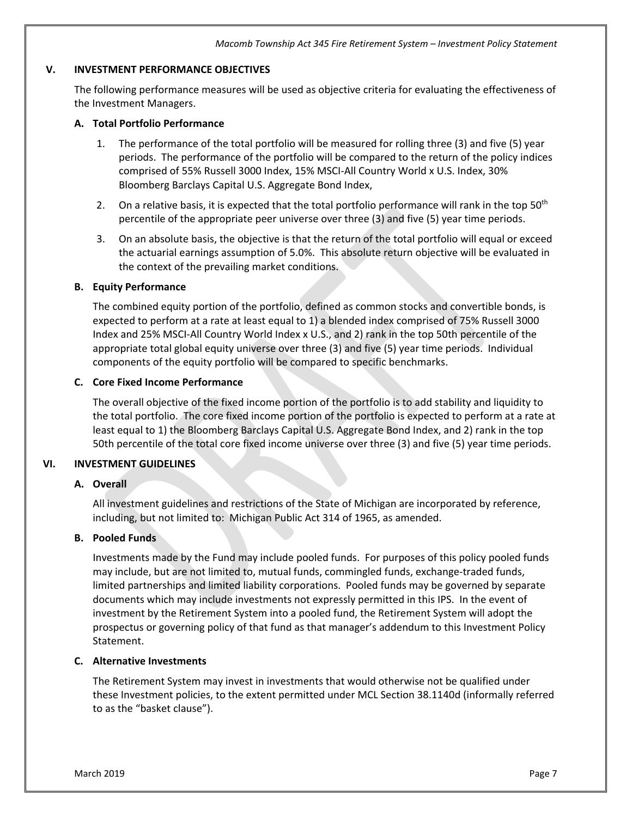## **V. INVESTMENT PERFORMANCE OBJECTIVES**

The following performance measures will be used as objective criteria for evaluating the effectiveness of the Investment Managers.

## **A. Total Portfolio Performance**

- 1. The performance of the total portfolio will be measured for rolling three (3) and five (5) year periods. The performance of the portfolio will be compared to the return of the policy indices comprised of 55% Russell 3000 Index, 15% MSCI‐All Country World x U.S. Index, 30% Bloomberg Barclays Capital U.S. Aggregate Bond Index,
- 2. On a relative basis, it is expected that the total portfolio performance will rank in the top  $50<sup>th</sup>$ percentile of the appropriate peer universe over three (3) and five (5) year time periods.
- 3. On an absolute basis, the objective is that the return of the total portfolio will equal or exceed the actuarial earnings assumption of 5.0%. This absolute return objective will be evaluated in the context of the prevailing market conditions.

# **B. Equity Performance**

The combined equity portion of the portfolio, defined as common stocks and convertible bonds, is expected to perform at a rate at least equal to 1) a blended index comprised of 75% Russell 3000 Index and 25% MSCI‐All Country World Index x U.S., and 2) rank in the top 50th percentile of the appropriate total global equity universe over three (3) and five (5) year time periods. Individual components of the equity portfolio will be compared to specific benchmarks.

# **C. Core Fixed Income Performance**

The overall objective of the fixed income portion of the portfolio is to add stability and liquidity to the total portfolio. The core fixed income portion of the portfolio is expected to perform at a rate at least equal to 1) the Bloomberg Barclays Capital U.S. Aggregate Bond Index, and 2) rank in the top 50th percentile of the total core fixed income universe over three (3) and five (5) year time periods.

## **VI. INVESTMENT GUIDELINES**

## **A. Overall**

All investment guidelines and restrictions of the State of Michigan are incorporated by reference, including, but not limited to: Michigan Public Act 314 of 1965, as amended.

## **B. Pooled Funds**

Investments made by the Fund may include pooled funds. For purposes of this policy pooled funds may include, but are not limited to, mutual funds, commingled funds, exchange‐traded funds, limited partnerships and limited liability corporations. Pooled funds may be governed by separate documents which may include investments not expressly permitted in this IPS. In the event of investment by the Retirement System into a pooled fund, the Retirement System will adopt the prospectus or governing policy of that fund as that manager's addendum to this Investment Policy Statement.

## **C. Alternative Investments**

The Retirement System may invest in investments that would otherwise not be qualified under these Investment policies, to the extent permitted under MCL Section 38.1140d (informally referred to as the "basket clause").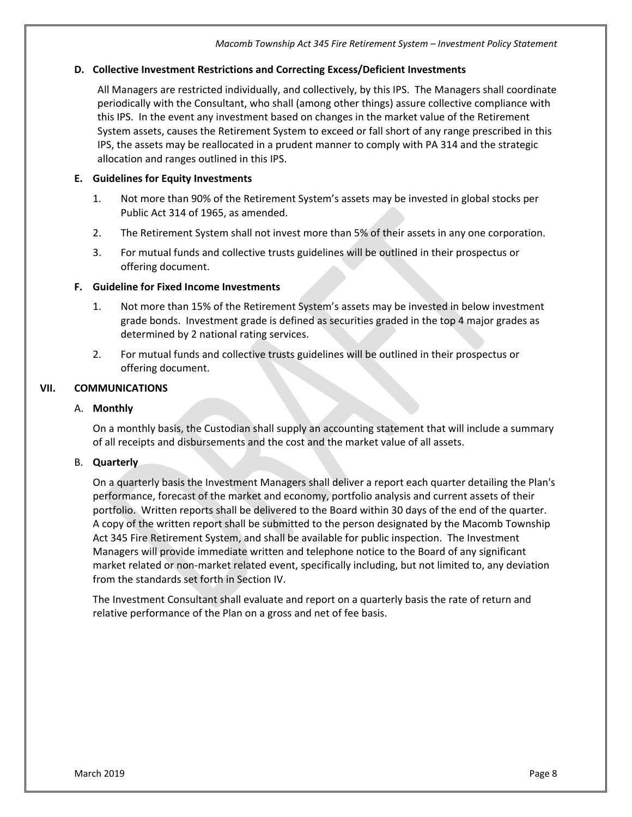## **D. Collective Investment Restrictions and Correcting Excess/Deficient Investments**

All Managers are restricted individually, and collectively, by this IPS. The Managers shall coordinate periodically with the Consultant, who shall (among other things) assure collective compliance with this IPS. In the event any investment based on changes in the market value of the Retirement System assets, causes the Retirement System to exceed or fall short of any range prescribed in this IPS, the assets may be reallocated in a prudent manner to comply with PA 314 and the strategic allocation and ranges outlined in this IPS.

## **E. Guidelines for Equity Investments**

- 1. Not more than 90% of the Retirement System's assets may be invested in global stocks per Public Act 314 of 1965, as amended.
- 2. The Retirement System shall not invest more than 5% of their assets in any one corporation.
- 3. For mutual funds and collective trusts guidelines will be outlined in their prospectus or offering document.

## **F. Guideline for Fixed Income Investments**

- 1. Not more than 15% of the Retirement System's assets may be invested in below investment grade bonds. Investment grade is defined as securities graded in the top 4 major grades as determined by 2 national rating services.
- 2. For mutual funds and collective trusts guidelines will be outlined in their prospectus or offering document.

# **VII. COMMUNICATIONS**

## A. **Monthly**

On a monthly basis, the Custodian shall supply an accounting statement that will include a summary of all receipts and disbursements and the cost and the market value of all assets.

## B. **Quarterly**

On a quarterly basis the Investment Managers shall deliver a report each quarter detailing the Plan's performance, forecast of the market and economy, portfolio analysis and current assets of their portfolio. Written reports shall be delivered to the Board within 30 days of the end of the quarter. A copy of the written report shall be submitted to the person designated by the Macomb Township Act 345 Fire Retirement System, and shall be available for public inspection. The Investment Managers will provide immediate written and telephone notice to the Board of any significant market related or non‐market related event, specifically including, but not limited to, any deviation from the standards set forth in Section IV.

The Investment Consultant shall evaluate and report on a quarterly basis the rate of return and relative performance of the Plan on a gross and net of fee basis.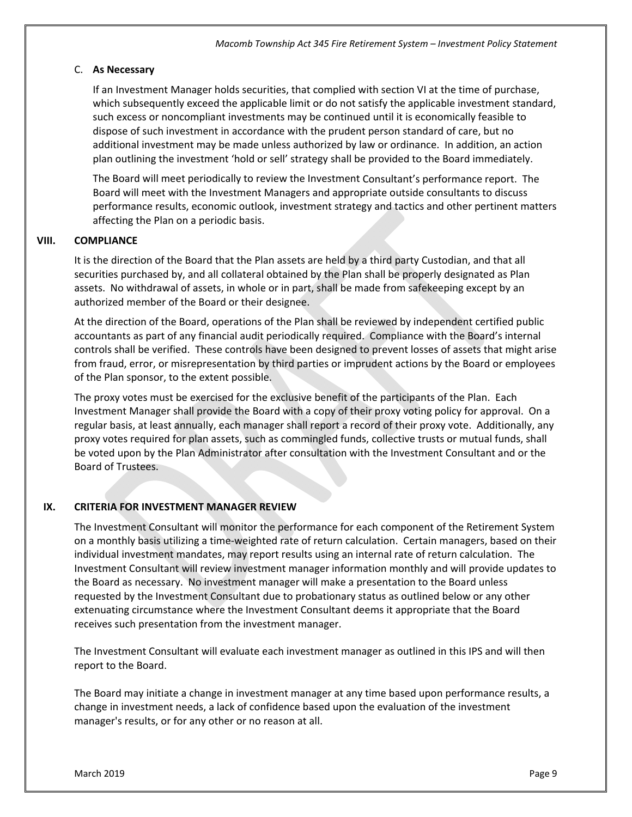#### C. **As Necessary**

If an Investment Manager holds securities, that complied with section VI at the time of purchase, which subsequently exceed the applicable limit or do not satisfy the applicable investment standard, such excess or noncompliant investments may be continued until it is economically feasible to dispose of such investment in accordance with the prudent person standard of care, but no additional investment may be made unless authorized by law or ordinance. In addition, an action plan outlining the investment 'hold or sell' strategy shall be provided to the Board immediately.

The Board will meet periodically to review the Investment Consultant's performance report. The Board will meet with the Investment Managers and appropriate outside consultants to discuss performance results, economic outlook, investment strategy and tactics and other pertinent matters affecting the Plan on a periodic basis.

#### **VIII. COMPLIANCE**

It is the direction of the Board that the Plan assets are held by a third party Custodian, and that all securities purchased by, and all collateral obtained by the Plan shall be properly designated as Plan assets. No withdrawal of assets, in whole or in part, shall be made from safekeeping except by an authorized member of the Board or their designee.

At the direction of the Board, operations of the Plan shall be reviewed by independent certified public accountants as part of any financial audit periodically required. Compliance with the Board's internal controls shall be verified. These controls have been designed to prevent losses of assets that might arise from fraud, error, or misrepresentation by third parties or imprudent actions by the Board or employees of the Plan sponsor, to the extent possible.

The proxy votes must be exercised for the exclusive benefit of the participants of the Plan. Each Investment Manager shall provide the Board with a copy of their proxy voting policy for approval. On a regular basis, at least annually, each manager shall report a record of their proxy vote. Additionally, any proxy votes required for plan assets, such as commingled funds, collective trusts or mutual funds, shall be voted upon by the Plan Administrator after consultation with the Investment Consultant and or the Board of Trustees.

## **IX. CRITERIA FOR INVESTMENT MANAGER REVIEW**

The Investment Consultant will monitor the performance for each component of the Retirement System on a monthly basis utilizing a time‐weighted rate of return calculation. Certain managers, based on their individual investment mandates, may report results using an internal rate of return calculation. The Investment Consultant will review investment manager information monthly and will provide updates to the Board as necessary. No investment manager will make a presentation to the Board unless requested by the Investment Consultant due to probationary status as outlined below or any other extenuating circumstance where the Investment Consultant deems it appropriate that the Board receives such presentation from the investment manager.

The Investment Consultant will evaluate each investment manager as outlined in this IPS and will then report to the Board.

The Board may initiate a change in investment manager at any time based upon performance results, a change in investment needs, a lack of confidence based upon the evaluation of the investment manager's results, or for any other or no reason at all.